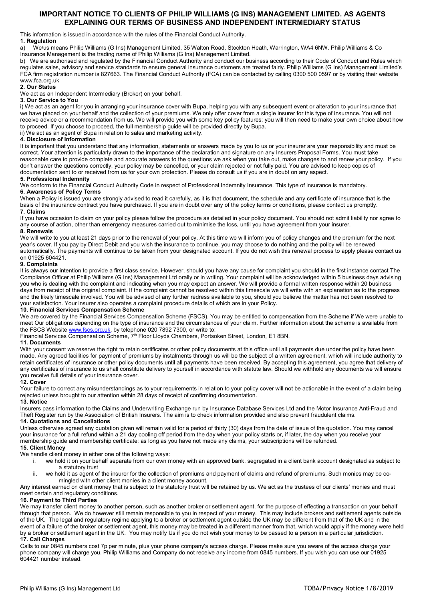# IMPORTANT NOTICE TO CLIENTS OF PHILIP WILLIAMS (G INS) MANAGEMENT LIMITED. AS AGENTS EXPLAINING OUR TERMS OF BUSINESS AND INDEPENDENT INTERMEDIARY STATUS

This information is issued in accordance with the rules of the Financial Conduct Authority.

# 1. Regulation

a) We/us means Philip Williams (G Ins) Management Limited, 35 Walton Road, Stockton Heath, Warrington, WA4 6NW. Philip Williams & Co Insurance Management is the trading name of Philip Williams (G Ins) Management Limited.

b) We are authorised and regulated by the Financial Conduct Authority and conduct our business according to their Code of Conduct and Rules which regulates sales, advisory and service standards to ensure general insurance customers are treated fairly. Philip Williams (G Ins) Management Limited's FCA firm registration number is 827663. The Financial Conduct Authority (FCA) can be contacted by calling 0300 500 0597 or by visiting their website www.fca.org.uk

# 2. Our Status

We act as an Independent Intermediary (Broker) on your behalf.

# 3. Our Service to You

i) We act as an agent for you in arranging your insurance cover with Bupa, helping you with any subsequent event or alteration to your insurance that we have placed on your behalf and the collection of your premiums. We only offer cover from a single insurer for this type of insurance. You will not receive advice or a recommendation from us. We will provide you with some key policy features; you will then need to make your own choice about how to proceed. If you choose to proceed, the full membership guide will be provided directly by Bupa.

ii) We act as an agent of Bupa in relation to sales and marketing activity.

# 4. Disclosure of Information

It is important that you understand that any information, statements or answers made by you to us or your insurer are your responsibility and must be correct. Your attention is particularly drawn to the importance of the declaration and signature on any Insurers Proposal Forms. You must take reasonable care to provide complete and accurate answers to the questions we ask when you take out, make changes to and renew your policy. If you don't answer the questions correctly, your policy may be cancelled, or your claim rejected or not fully paid. You are advised to keep copies of documentation sent to or received from us for your own protection. Please do consult us if you are in doubt on any aspect.

### 5. Professional Indemnity

We conform to the Financial Conduct Authority Code in respect of Professional Indemnity Insurance. This type of insurance is mandatory. 6. Awareness of Policy Terms

When a Policy is issued you are strongly advised to read it carefully, as it is that document, the schedule and any certificate of insurance that is the basis of the insurance contract you have purchased. If you are in doubt over any of the policy terms or conditions, please contact us promptly. 7. Claims

If you have occasion to claim on your policy please follow the procedure as detailed in your policy document. You should not admit liability nor agree to any course of action, other than emergency measures carried out to minimise the loss, until you have agreement from your insurer.

# 8. Renewals

We will write to you at least 21 days prior to the renewal of your policy. At this time we will inform you of policy changes and the premium for the next year's cover. If you pay by Direct Debit and you wish the insurance to continue, you may choose to do nothing and the policy will be renewed automatically. The payments will continue to be taken from your designated account. If you do not wish this renewal process to apply please contact us on 01925 604421.

### 9. Complaints

It is always our intention to provide a first class service. However, should you have any cause for complaint you should in the first instance contact The Compliance Officer at Philip Williams (G Ins) Management Ltd orally or in writing. Your complaint will be acknowledged within 5 business days advising you who is dealing with the complaint and indicating when you may expect an answer. We will provide a formal written response within 20 business days from receipt of the original complaint. If the complaint cannot be resolved within this timescale we will write with an explanation as to the progress and the likely timescale involved. You will be advised of any further redress available to you, should you believe the matter has not been resolved to your satisfaction. Your insurer also operates a complaint procedure details of which are in your Policy.

#### 10. Financial Services Compensation Scheme

We are covered by the Financial Services Compensation Scheme (FSCS). You may be entitled to compensation from the Scheme if We were unable to meet Our obligations depending on the type of insurance and the circumstances of your claim. Further information about the scheme is available from the FSCS Website www.fscs.org.uk, by telephone 020 7892 7300, or write to:

Financial Services Compensation Scheme, 7<sup>th</sup> Floor Lloyds Chambers, Portsoken Street, London, E1 8BN.

# 11. Documents

With your consent we reserve the right to retain certificates or other policy documents at this office until all payments due under the policy have been made. Any agreed facilities for payment of premiums by instalments through us will be the subject of a written agreement, which will include authority to retain certificates of insurance or other policy documents until all payments have been received. By accepting this agreement, you agree that delivery of any certificates of insurance to us shall constitute delivery to yourself in accordance with statute law. Should we withhold any documents we will ensure you receive full details of your insurance cover.

#### 12. Cover

Your failure to correct any misunderstandings as to your requirements in relation to your policy cover will not be actionable in the event of a claim being rejected unless brought to our attention within 28 days of receipt of confirming documentation.

#### 13. Notice

Insurers pass information to the Claims and Underwriting Exchange run by Insurance Database Services Ltd and the Motor Insurance Anti-Fraud and Theft Register run by the Association of British Insurers. The aim is to check information provided and also prevent fraudulent claims.

# 14. Quotations and Cancellations

Unless otherwise agreed any quotation given will remain valid for a period of thirty (30) days from the date of issue of the quotation. You may cancel your insurance for a full refund within a 21 day cooling off period from the day when your policy starts or, if later, the day when you receive your membership guide and membership certificate; as long as you have not made any claims, your subscriptions will be refunded.

# 15. Client Money

We handle client money in either one of the following ways:

- i. we hold it on your behalf separate from our own money with an approved bank, segregated in a client bank account designated as subject to a statutory trust
- ii. we hold it as agent of the insurer for the collection of premiums and payment of claims and refund of premiums. Such monies may be comingled with other client monies in a client money account.

Any interest earned on client money that is subject to the statutory trust will be retained by us. We act as the trustees of our clients' monies and must meet certain and regulatory conditions.

# 16. Payment to Third Parties

We may transfer client money to another person, such as another broker or settlement agent, for the purpose of effecting a transaction on your behalf through that person. We do however still remain responsible to you in respect of your money. This may include brokers and settlement agents outside of the UK. The legal and regulatory regime applying to a broker or settlement agent outside the UK may be different from that of the UK and in the event of a failure of the broker or settlement agent, this money may be treated in a different manner from that, which would apply if the money were held by a broker or settlement agent in the UK. You may notify Us if you do not wish your money to be passed to a person in a particular jurisdiction. 17. Call Charges

Calls to our 0845 numbers cost 7p per minute, plus your phone company's access charge. Please make sure you aware of the access charge your phone company will charge you. Philip Williams and Company do not receive any income from 0845 numbers. If you wish you can use our 01925 604421 number instead.